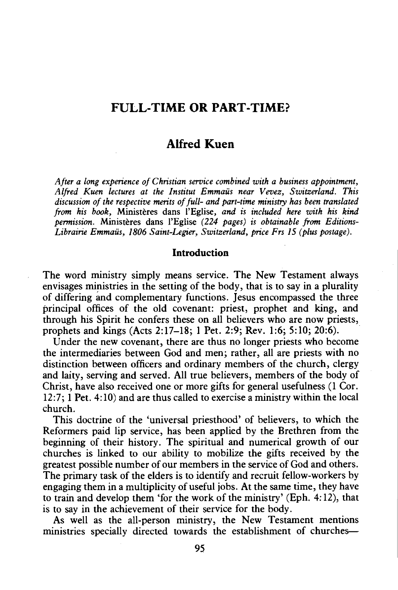# **FULL-TIME OR PART-TIME?**

# **Alfred Kuen**

*After a long experience of Christian service combined with a business appointment, Alfred Kuen lectures at the Institut Emmaus near Vevez, Switzerland. This discussion of the respective merits of full- and part-time ministry has been translated from his book,* Ministeres dans l'Eglise, *and is included here with his kind permission.* Ministeres dans l'Eglise *(224 pages) is obtainable from Editions-Librairie Emmaus, 1806 Saint-Legier, Switzerland, price Frs IS (plus postage).* 

## **Introduction**

The word ministry simply means service. The New Testament always envisages ministries in the setting of the body, that is to say in a plurality of differing imd complementary functions. Jesus encompassed the three principal offices of the old covenant: priest, prophet and king, and through his Spirit he confers these on all believers who are now priests, prophets and kings (Acts 2:17-18; 1 Pet. 2:9; Rev. 1:6; 5:10; 20:6).

Under the new covenant, there are thus no longer priests who become the intermediaries between God and men; rather, all are priests with no distinction between officers and ordinary members of the church, clergy and laity, serving and served. All true believers, members of the body of Christ, have also received one or more gifts for general usefulness (1 Cor. 12:7; 1 Pet. 4: 10) and are thus called to exercise a ministry within the local church.

This doctrine of the 'universal priesthood' of believers, to which the Reformers paid lip service, has been applied by the Brethren from the beginning of their history. The spiritual and numerical growth of our churches is linked to our ability to mobilize the gifts received by the greatest possible number of our members in the service of God and others. The primary task of the elders is to identify and recruit fellow-workers by engaging them in a multiplicity of useful jobs. At the same time, they have to train and develop them 'for the work of the ministry' (Eph. 4: 12), that is to say in the achievement of their service for the body.

As well as the all-person ministry, the New Testament mentions ministries specially directed towards the establishment of churches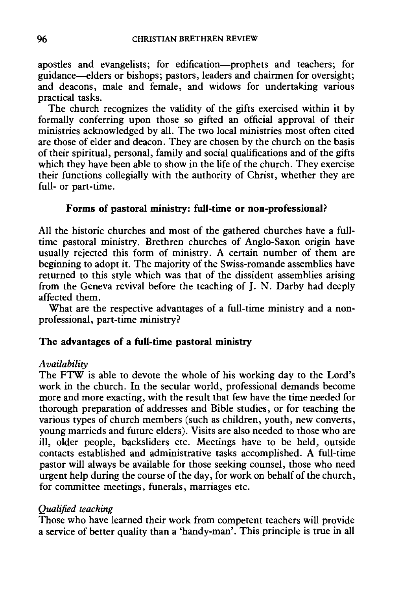apostles and evangelists; for edification---prophets and teachers; for guidance-elders or bishops; pastors, leaders and chairmen for oversight; and deacons, male and female, and widows for undertaking various practical tasks.

The church recognizes the validity of the gifts exercised within it by formally conferring upon those so gifted an official approval of their ministries acknowledged by all. The two local ministries most often cited are those of elder and deacon. They are chosen by the church on the basis of their spiritual, personal, family and social qualifications and of the gifts which they have been able to show in the life of the church. They exercise their functions collegially with the authority of Christ, whether they are full- or part-time.

## Forms of pastoral ministry: full-time or non-professional?

All the historic churches and most of the gathered churches have a fulltime pastoral ministry. Brethren churches of Anglo-Saxon origin have usually rejected this form of ministry. A certain number of them are beginning to adopt it. The majority of the Swiss-romande assemblies have returned to this style which was that of the dissident assemblies arising from the Geneva revival before the teaching of J. N. Darby had deeply affected them.

What are the respective advantages of a full-time ministry and a nonprofessional, part-time ministry?

#### The advantages of a full-time pastoral ministry

### *Availability*

The FTW is able to devote the whole of his working day to the Lord's work in the church. In the secular world, professional demands become more and more exacting, with the result that few have the time needed for thorough preparation of addresses and Bible studies, or for teaching the various types of church members (such as children, youth, new converts, young marrieds and future elders). Visits are also needed to those who are ill, older people, backsliders etc. Meetings have to be held, outside contacts established and administrative tasks accomplished. A full-time pastor will always be available for those seeking counsel, those who need urgent help during the course of the day, for work on behalf of the church, for committee meetings, funerals, marriages etc.

#### *Qualified teaching*

Those who have learned their work from competent teachers will provide a service of better quality than a 'handy-man'. This principle is true in all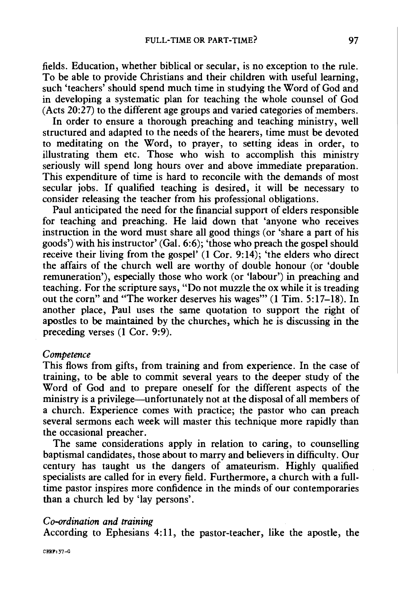fields. Education, whether biblical or secular, is no exception to the rule. To be able to provide Christians and their children with useful learning, such 'teachers' should spend much time in studying the Word of God and in developing a systematic plan for teaching the whole counsel of God (Acts 20:27) to the different age groups and varied categories of members.

In order to ensure a thorough preaching and teaching ministry, well structured and adapted to the needs of the hearers, time must be devoted to meditating on the Word, to prayer, to setting ideas in order, to illustrating them etc. Those who wish to accomplish this ministry seriously will spend long hours over and above immediate preparation. This expenditure of time is hard to reconcile with the demands of most secular jobs. If qualified teaching is desired, it will be necessary to consider releasing the teacher from his professional obligations.

Paul anticipated the need for the financial support of elders responsible for teaching and preaching. He laid down that 'anyone who receives instruction in the word must share all good things (or 'share a part of his goods') with his instructor' (Gal. 6:6); 'those who preach the gospel should receive their living from the gospel' (1 Cor. 9:14); 'the elders who direct the affairs of the church well are worthy of double honour (or 'double remuneration'), especially those who work (or 'labour') in preaching and teaching. For the scripture says, "Do not muzzle the ox while it is treading out the corn" and "The worker deserves his wages"' (1 Tim. 5:17-18). In another place, Paul uses the same quotation to support the right of apostles to be maintained by the churches, which he is discussing in the preceding verses (1 Cor. 9:9).

#### *Competence*

This flows from gifts, from training and from experience. In the case of training, to be able to commit several years to the deeper study of the Word of God and to prepare oneself for the different aspects of the ministry is a privilege—unfortunately not at the disposal of all members of a church. Experience comes with practice; the pastor who can preach several sermons each week will master this technique more rapidly than the occasional preacher.

The same considerations apply in relation to caring, to counselling baptismal candidates, those about to marry and believers in difficulty. Our century has taught us the dangers of amateurism. Highly qualified specialists are called for in every field. Furthermore, a church with a fulltime pastor inspires more confidence in the minds of our contemporaries than a church led by 'lay persons'.

### *Co-ordination and training*

According to Ephesians 4:11, the pastor-teacher, like the apostle, the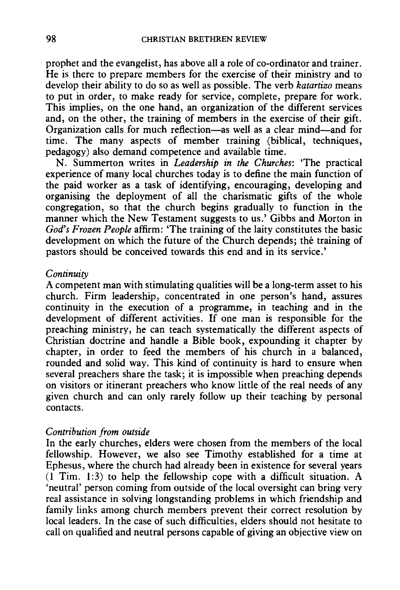prophet and the evangelist, has above all a role of co-ordinator and trainer. He is there to prepare members for the exercise of their ministry and to develop their ability to do so as well as possible. The verb *katartizo* means to put in order, to make ready for service, complete, prepare for work. This implies, on the one hand, an organization of the different services and, on the other, the training of members in the exercise of their gift. Organization calls for much reflection-as well as a clear mind-and for time. The many aspects of member training (biblical, techniques, pedagogy) also demand competence and available time.

N. Summerton writes in *Leadership in the Churches:* 'The practical experience of many local churches today is to define the main function of the paid worker as a task of identifying, encouraging, developing and organising the deployment of all the charismatic gifts of the whole congregation, so that the church begins gradually to function in the manner which the New Testament suggests to us.' Gibbs and Morton in *God's Frozen People* affirm: 'The training of the laity constitutes the basic development on which the future of the Church depends; the training of pastors should be conceived towards this end and in its service.'

#### *Continuity*

A competent man with stimulating qualities will be a long-term asset to his church. Firm leadership, concentrated in one person's hand, assures continuity in the execution of a programme, in teaching and in the development of different activities. If one man is responsible for the preaching ministry, he can teach systematically the different aspects of Christian doctrine and handle a Bible book, expounding it chapter by chapter, in order to feed the members of his church in a balanced, rounded and solid way. This kind of continuity is hard to ensure when several preachers share the task; it is impossible when preaching depends on visitors or itinerant preachers who know little of the real needs of any given church and can only rarely follow up their teaching by personal contacts.

### *Contribution from outside*

In the early churches, elders were chosen from the members of the local fellowship. However, we also see Timothy established for a time at Ephesus, where the church had already been in existence for several years  $(1$  Tim. 1:3) to help the fellowship cope with a difficult situation. A 'neutral' person coming from outside of the local oversight can bring very real assistance in solving longstanding problems in which friendship and family links among church members prevent their correct resolution by local leaders. In the case of such difficulties, elders should not hesitate to call on qualified and neutral persons capable of giving an objective view on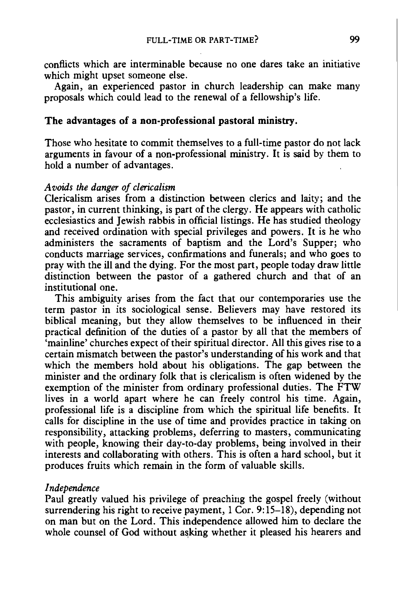conflicts which are interminable because no one dares take an initiative which might upset someone else.

Again, an experienced pastor in church leadership can make many proposals which could lead to the renewal of a fellowship's life.

## **The advantages of a non-professional pastoral ministry.**

Those who hesitate to commit themselves to a full-time pastor do not lack arguments in favour of a non-professional ministry. It is said by them to hold a number of advantages.

### *A voids the danger of clerical ism*

Clericalism arises from a distinction between clerics and laity; and the pastor, in current thinking, is part of the clergy. He appears with catholic ecclesiastics and Jewish rabbis in official listings. He has studied theology and received ordination with special privileges and powers. It is he who administers the sacraments of baptism and the Lord's Supper; who conducts marriage services, confirmations and funerals; and who goes to pray with the ill and the dying. For the most part, people today draw little distinction between the pastor of a gathered church and that of an institutional one.

This ambiguity arises from the fact that our contemporaries use the term pastor in its sociological sense. Believers may have restored its biblical meaning, but they allow themselves to be influenced in their practical definition of the duties of a pastor by all that the members of 'mainline' churches expect of their spiritual director. All this gives rise to a certain mismatch between the pastor's understanding of his work and that which the members hold about his obligations. The gap between the minister and the ordinary folk that is clericalism is often widened by the exemption of the minister from ordinary professional duties. The FTW lives in a world apart where he can freely control his time. Again, professional life is a discipline from which the spiritual life benefits. It calls for discipline in the use of time and provides practice in taking on responsibility, attacking problems, deferring to masters, communicating with people, knowing their day-to-day problems, being involved in their interests and collaborating with others. This is often a hard school, but it produces fruits which remain in the form of valuable skills.

### *Independence*

Paul greatly valued his privilege of preaching the gospel freely (without surrendering his right to receive payment, 1 Cor. 9:15-18), depending not on man but on the Lord. This independence allowed him to declare the whole counsel of God without asking whether it pleased his hearers and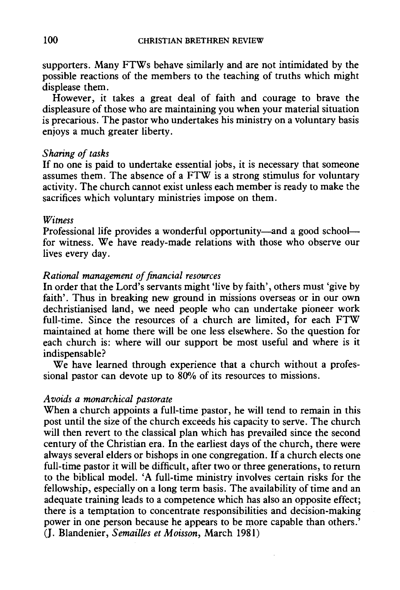supporters. Many FTWs behave similarly and are not intimidated by the possible reactions of the members to the teaching of truths which might displease them.

However, it takes a great deal of faith and courage to brave the displeasure of those who are maintaining you when your material situation is precarious. The pastor who undertakes his ministry on a voluntary basis enjoys a much greater liberty.

### *Sharing of tasks*

If no one is paid to undertake essential jobs, it is necessary that someone assumes them. The absence of a FTW is a strong stimulus for voluntary activity. The church cannot exist unless each member is ready to make the sacrifices which voluntary ministries impose on them.

#### *Witness*

Professional life provides a wonderful opportunity-and a good schoolfor witness. We have ready-made relations with those who observe our lives every day.

### *Rational management of financial resources*

In order that the Lord's servants might 'live by faith', others must 'give by faith'. Thus in breaking new ground in missions overseas or in our own dechristianised land, we need people who can undertake pioneer work full-time. Since the resources of a church are limited, for each FTW maintained at home there will be one less elsewhere. So the question for each church is: where will our support be most useful and where is it indispensable?

We have learned through experience that a church without a professional pastor can devote up to 80% of its resources to missions.

#### *Avoids a monarchical pastorate*

When a church appoints a full-time pastor, he will tend to remain in this post until the size of the church exceeds his capacity to serve. The church will then revert to the classical plan which has prevailed since the second century of the Christian era. In the earliest days of the church, there were always several elders or bishops in one congregation. If a church elects one full-time pastor it will be difficult, after two or three generations, to return to the biblical model. 'A full-time ministry involves certain risks for the fellowship, especially on a long term basis. The availability of time and an adequate training leads to a competence which has also an opposite effect; there is a temptation to concentrate responsibilities and decision-making power in one person because he appears to be more capable than others.' (J. Blandenier, *Semailles et Moisson,* March 1981)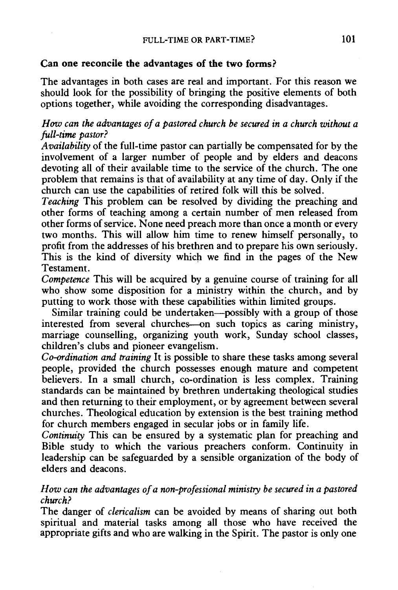### Can one reconcile the advantages of the two forms?

The advantages in both cases are real and important. For this reason we should look for the possibility of bringing the positive elements of both options together, while avoiding the corresponding disadvantages.

# *How can the advantages of a pastored church be secured in a church without a full-time pastor?*

*Availability* of the full-time pastor can partially be compensated for by the involvement of a larger number of people and by elders and deacons devoting all of their available time to the service of the church. The one problem that remains is that of availability at any time of day. Only if the church can use the capabilities of retired folk will this be solved.

*Teaching* This problem can be resolved by dividing the preaching and other forms of teaching among a certain number of men released from other forms of service. None need preach more than once a month or every two months. This will allow him time to renew himself personally, to profit from the addresses of his brethren and to prepare his own seriously. This is the kind of diversity which we find in the pages of the New Testament.

*Competence* This will be acquired by a genuine course of training for all who show some disposition for a ministry within the church, and by putting to work those with these capabilities within limited groups.

Similar training could be undertaken-possibly with a group of those interested from several churches-on such topics as caring ministry, marriage counselling, organizing youth work, Sunday school classes, children's clubs and pioneer evangelism.

*Co-ordination and training* It is possible to share these tasks among several people, provided the church possesses enough mature and competent believers. In a small church, co-ordination is less complex. Training standards can be maintained by brethren undertaking theological studies and then returning to their employment, or by agreement between several churches. Theological education by extension is the best training method for church members engaged in secular jobs or in family life.

*Continuity* This can be ensured by a systematic plan for preaching and Bible study to which the various preachers conform. Continuity in leadership can be safeguarded by a sensible organization of the body of elders and deacons.

# *How can the advantages of a non-professional ministry be secured in a pastored church?*

The danger of *clericalism* can be avoided by means of sharing out both spiritual and material tasks among all those who have received the appropriate gifts and who are walking in the Spirit. The pastor is only one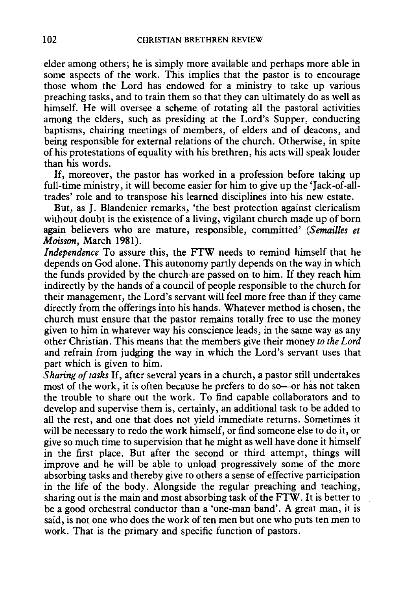elder among others; he is simply more available and perhaps more able in some aspects of the work. This implies that the pastor is to encourage those whom the Lord has endowed for a ministry to take up various preaching tasks, and to train them so that they can ultimately do as well as himself. He will oversee a scheme of rotating all the pastoral activities among the elders, such as presiding at the Lord's Supper, conducting baptisms, chairing meetings of members, of elders and of deacons, and being responsible for external relations of the church. Otherwise, in spite of his protestations of equality with his brethren, his acts will speak louder than his words.

If, moreover, the pastor has worked in a profession before taking up full-time ministry, it will become easier for him to give up the 'Jack-of-alltrades' role and to transpose his learned disciplines into his new estate.

But, as J. Blandenier remarks, 'the best protection against clericalism without doubt is the existence of a living, vigilant church made up of born again believers who are mature, responsible, committed' *(Semailles et Moisson,* March 1981).

*Independence* To assure this, the FTW needs to remind himself that he depends on God alone. This autonomy partly depends on the way in which the funds provided by the church·are passed on to him. If they reach him indirectly by the hands of a council of people responsible to the church for their management, the Lord's servant will feel more free than if they came directly from the offerings into his hands. Whatever method is chosen, the church must ensure that the pastor remains totally free to use the money given to him in whatever way his conscience leads, in the same way as any other Christian. This means that the members give their money *to the Lord*  and refrain from judging the way in which the Lord's servant uses that part which is given to him.

*Sharing of tasks* If, after several years in a church, a pastor still undertakes most of the work, it is often because he prefers to do so-or has not taken the trouble to share out the work. To find capable collaborators and to develop and supervise them is, certainly, an additional task to be added to all the rest, and one that does not yield immediate returns. Sometimes it will be necessary to redo the work himself, or find someone else to do it, or give so much time to supervision that he might as well have done it himself in the first place. But after the second or third attempt, things will improve and he will be able to unload progressively some of the more absorbing tasks and thereby give to others a sense of effective participation in the life of the body. Alongside the regular preaching and teaching, sharing out is the main and most absorbing task of the FTW. It is better to be a good orchestral conductor than a 'one-man band'. A great man, it is said, is not one who does the work of ten men but one who puts ten men to work. That is the primary and specific function of pastors.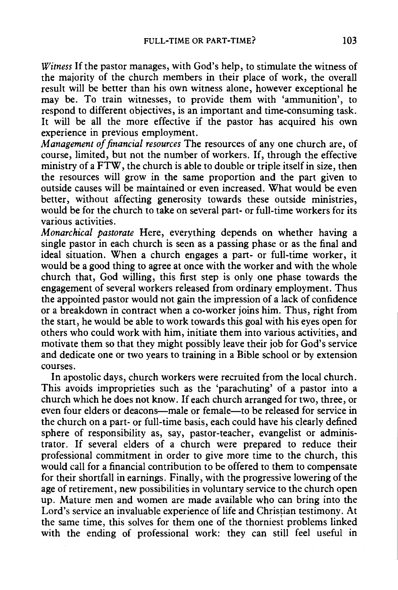*Witness* If the pastor manages, with God's help, to stimulate the witness of the majority of the church members in their place of work, the overall result will be better than his own witness alone, however exceptional he may be. To train witnesses, to provide them with 'ammunition', to respond to different objectives, is an important and time-consuming task. It will be all the more effective if the pastor has acquired his own experience in previous employment.

*Management of financial resources* The resources of any one church are, of course, limited, but not the number of workers. If, through the effective ministry of a FTW, the church is able to double or triple itself in size, then the resources will grow in the same proportion and the part given to outside causes will be maintained or even increased. What would be even better, without affecting generosity towards these outside ministries, would be for the church to take on several part- or full-time workers for its various activities.

*Monarchical pastorate* Here, everything depends on whether having a single pastor in each church is seen as a passing phase or as the final and ideal situation. When a church engages a part- or full-time worker, it would be a good thing to agree at once with the worker and with the whole church that, God willing, this first step is only one phase towards the engagement of several workers released from ordinary employment. Thus the appointed pastor would not gain the impression of a lack of confidence or a breakdown in contract when a eo-worker joins him. Thus, right from the start, he would be able to work towards this goal with his eyes open for others who could work with him, initiate them into various activities, and motivate them so that they might possibly leave their job for God's service and dedicate one or two years to training in a Bible school or by extension courses.

In apostolic days, church workers were recruited from the local church. This avoids improprieties such as the 'parachuting' of a pastor into a church which he does not know. If each church arranged for two, three, or even four elders or deacons—male or female—to be released for service in the church on a part- or full-time basis, each could have his clearly defined sphere of responsibility as, say, pastor-teacher, evangelist or administrator. If several elders of a church were prepared to reduce their professional commitment in order to give more time to the church, this would call for a financial contribution to be offered to them to compensate for their shortfall in earnings. Finally, with the progressive lowering of the age of retirement, new possibilities in voluntary service to the church open up. Mature men and women are made available who can bring into the Lord's service an invaluable experience of life and Christian testimony. At the same time, this solves for them one of the thorniest problems linked with the ending of professional work: they can still feel useful in